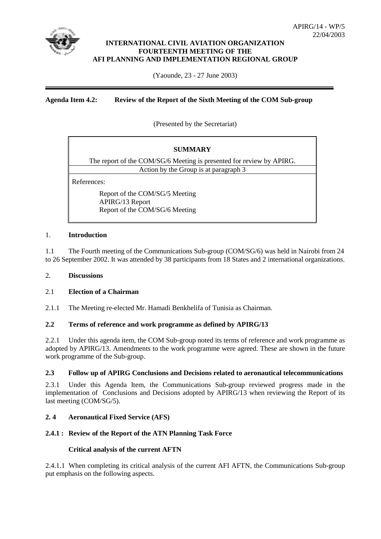

## **INTERNATIONAL CIVIL AVIATION ORGANIZATION FOURTEENTH MEETING OF THE AFI PLANNING AND IMPLEMENTATION REGIONAL GROUP**

(Yaounde, 23 - 27 June 2003)

## **Agenda Item 4.2: Review of the Report of the Sixth Meeting of the COM Sub-group**

(Presented by the Secretariat)

| <b>SUMMARY</b>                                                                      |
|-------------------------------------------------------------------------------------|
| The report of the COM/SG/6 Meeting is presented for review by APIRG.                |
| Action by the Group is at paragraph 3                                               |
| References:                                                                         |
| Report of the COM/SG/5 Meeting<br>APIRG/13 Report<br>Report of the COM/SG/6 Meeting |

## 1. **Introduction**

1.1 The Fourth meeting of the Communications Sub-group (COM/SG/6) was held in Nairobi from 24 to 26 September 2002. It was attended by 38 participants from 18 States and 2 international organizations.

## 2. **Discussions**

#### 2.1 **Election of a Chairman**

2.1.1 The Meeting re-elected Mr. Hamadi Benkhelifa of Tunisia as Chairman.

## **2.2 Terms of reference and work programme as defined by APIRG/13**

2.2.1 Under this agenda item, the COM Sub-group noted its terms of reference and work programme as adopted by APIRG/13. Amendments to the work programme were agreed. These are shown in the future work programme of the Sub-group.

## **2.3 Follow up of APIRG Conclusions and Decisions related to aeronautical telecommunications**

2.3.1 Under this Agenda Item, the Communications Sub-group reviewed progress made in the implementation of Conclusions and Decisions adopted by APIRG/13 when reviewing the Report of its last meeting (COM/SG/5).

## **2. 4 Aeronautical Fixed Service (AFS)**

## **2.4.1 : Review of the Report of the ATN Planning Task Force**

#### **Critical analysis of the current AFTN**

2.4.1.1 When completing its critical analysis of the current AFI AFTN, the Communications Sub-group put emphasis on the following aspects.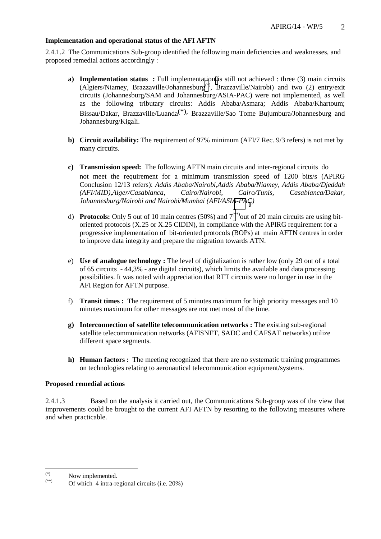## **Implementation and operational status of the AFI AFTN**

2.4.1.2 The Communications Sub-group identified the following main deficiencies and weaknesses, and proposed remedial actions accordingly :

- **a) Implementation status :** Full implementation is still not achieved : three (3) main circuits (Algiers/Niamey, Brazzaville/Johannesburg(\*), Brazzaville/Nairobi) and two (2) entry/exit circuits (Johannesburg/SAM and Johannesburg/ASIA-PAC) were not implemented, as well as the following tributary circuits: Addis Ababa/Asmara; Addis Ababa/Khartoum; Bissau/Dakar, Brazzaville/Luanda(\*), Brazzaville/Sao Tome Bujumbura/Johannesburg and Johannesburg/Kigali.
- **b)** Circuit availability: The requirement of 97% minimum (AFI/7 Rec. 9/3 refers) is not met by many circuits.
- **c) Transmission speed:** The following AFTN main circuits and inter-regional circuits do not meet the requirement for a minimum transmission speed of 1200 bits/s (APIRG Conclusion 12/13 refers): *Addis Ababa/Nairobi,Addis Ababa/Niamey, Addis Ababa/Djeddah (AFI/MID),Alger/Casablanca, Cairo/Nairobi, Cairo/Tunis, Casablanca/Dakar, Johannesburg/Nairobi and Nairobi/Mumbai (AFI/ASIA-PAC)*
- d) **Protocols:** Only 5 out of 10 main centres (50%) and  $7^{(*)}$  out of 20 main circuits are using bitoriented protocols (X.25 or X.25 CIDIN), in compliance with the APIRG requirement for a progressive implementation of bit-oriented protocols (BOPs) at main AFTN centres in order to improve data integrity and prepare the migration towards ATN.
- e) **Use of analogue technology :** The level of digitalization is rather low (only 29 out of a total of 65 circuits - 44,3% - are digital circuits), which limits the available and data processing possibilities. It was noted with appreciation that RTT circuits were no longer in use in the AFI Region for AFTN purpose.
- f) **Transit times :** The requirement of 5 minutes maximum for high priority messages and 10 minutes maximum for other messages are not met most of the time.
- **g) Interconnection of satellite telecommunication networks :** The existing sub-regional satellite telecommunication networks (AFISNET, SADC and CAFSAT networks) utilize different space segments.
- **h) Human factors :** The meeting recognized that there are no systematic training programmes on technologies relating to aeronautical telecommunication equipment/systems.

## **Proposed remedial actions**

2.4.1.3 Based on the analysis it carried out, the Communications Sub-group was of the view that improvements could be brought to the current AFI AFTN by resorting to the following measures where and when practicable.

 $(*)$  $\overset{(*)}{\text{Now implemented}}$ .

Of which  $4$  intra-regional circuits (i.e. 20%)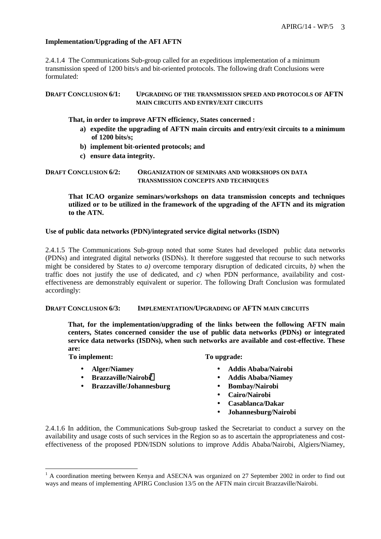## **Implementation/Upgrading of the AFI AFTN**

2.4.1.4 The Communications Sub-group called for an expeditious implementation of a minimum transmission speed of 1200 bits/s and bit-oriented protocols. The following draft Conclusions were formulated:

**DRAFT CONCLUSION 6/1: UPGRADING OF THE TRANSMISSION SPEED AND PROTOCOLS OF AFTN MAIN CIRCUITS AND ENTRY/EXIT CIRCUITS** 

## **That, in order to improve AFTN efficiency, States concerned :**

- **a) expedite the upgrading of AFTN main circuits and entry/exit circuits to a minimum of 1200 bits/s;**
- **b) implement bit-oriented protocols; and**
- **c) ensure data integrity.**

**DRAFT CONCLUSION 6/2: ORGANIZATION OF SEMINARS AND WORKSHOPS ON DATA TRANSMISSION CONCEPTS AND TECHNIQUES**

**That ICAO organize seminars/workshops on data transmission concepts and techniques utilized or to be utilized in the framework of the upgrading of the AFTN and its migration to the ATN.** 

#### **Use of public data networks (PDN)/integrated service digital networks (ISDN)**

2.4.1.5 The Communications Sub-group noted that some States had developed public data networks (PDNs) and integrated digital networks (ISDNs). It therefore suggested that recourse to such networks might be considered by States to *a)* overcome temporary disruption of dedicated circuits, *b)* when the traffic does not justify the use of dedicated, and *c)* when PDN performance, availability and costeffectiveness are demonstrably equivalent or superior. The following Draft Conclusion was formulated accordingly:

#### **DRAFT CONCLUSION 6/3: IMPLEMENTATION/UPGRADING OF AFTN MAIN CIRCUITS**

**That, for the implementation/upgrading of the links between the following AFTN main centers, States concerned consider the use of public data networks (PDNs) or integrated service data networks (ISDNs), when such networks are available and cost-effective. These are:** 

**To implement: To upgrade:** 

 $\overline{a}$ 

- 
- 
- **Brazzaville/Johannesburg Bombay/Nairobi**

- **Alger/Niamey Addis Ababa/Nairobi**
- **Brazzaville/Nairobi1 Addis Ababa/Niamey** 
	-
	- **Cairo/Nairobi**
	- **Casablanca/Dakar**
	- **Johannesburg/Nairobi**

2.4.1.6 In addition, the Communications Sub-group tasked the Secretariat to conduct a survey on the availability and usage costs of such services in the Region so as to ascertain the appropriateness and costeffectiveness of the proposed PDN/ISDN solutions to improve Addis Ababa/Nairobi, Algiers/Niamey,

<sup>&</sup>lt;sup>1</sup> A coordination meeting between Kenya and ASECNA was organized on 27 September 2002 in order to find out ways and means of implementing APIRG Conclusion 13/5 on the AFTN main circuit Brazzaville/Nairobi.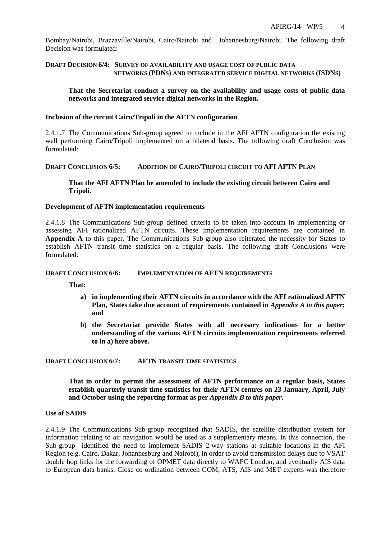Bombay/Nairobi, Brazzaville/Nairobi, Cairo/Nairobi and Johannesburg/Nairobi. The following draft Decision was formulated:

#### **DRAFT DECISION 6/4: SURVEY OF AVAILABILITY AND USAGE COST OF PUBLIC DATA NETWORKS (PDNS) AND INTEGRATED SERVICE DIGITAL NETWORKS (ISDNS)**

#### **That the Secretariat conduct a survey on the availability and usage costs of public data networks and integrated service digital networks in the Region.**

#### **Inclusion of the circuit Cairo/Tripoli in the AFTN configuration**

2.4.1.7 The Communications Sub-group agreed to include in the AFI AFTN configuration the existing well performing Cairo/Tripoli implemented on a bilateral basis. The following draft Conclusion was formulated:

#### **DRAFT CONCLUSION 6/5: ADDITION OF CAIRO/TRIPOLI CIRCUIT TO AFI AFTN PLAN**

#### **That the AFI AFTN Plan be amended to include the existing circuit between Cairo and Tripoli.**

#### **Development of AFTN implementation requirements**

2.4.1.8 The Communications Sub-group defined criteria to be taken into account in implementing or assessing AFI rationalized AFTN circuits. These implementation requirements are contained in **Appendix A** to this paper. The Communications Sub-group also reiterated the necessity for States to establish AFTN transit time statistics on a regular basis. The following draft Conclusions were formulated:

#### **DRAFT CONCLUSION 6/6: IMPLEMENTATION OF AFTN REQUIREMENTS**

**That:** 

- **a) in implementing their AFTN circuits in accordance with the AFI rationalized AFTN Plan, States take due account of requirements contained in** *Appendix A to this paper***; and**
- **b) the Secretariat provide States with all necessary indications for a better understanding of the various AFTN circuits implementation requirements referred to in a) here above.**

**DRAFT CONCLUSION 6/7: AFTN TRANSIT TIME STATISTICS**

**That in order to permit the assessment of AFTN performance on a regular basis, States establish quarterly transit time statistics for their AFTN centres on 23 January, April, July and October using the reporting format as per** *Appendix B to this paper***.** 

#### **Use of SADIS**

2.4.1.9 The Communications Sub-group recognized that SADIS, the satellite distribution system for information relating to air navigation would be used as a supplementary means. In this connection, the Sub-group identified the need to implement SADIS 2-way stations at suitable locations in the AFI Region (e.g. Cairo, Dakar, Johannesburg and Nairobi), in order to avoid transmission delays due to VSAT double hop links for the forwarding of OPMET data directly to WAFC London, and eventually AIS data to European data banks. Close co-ordination between COM, ATS, AIS and MET experts was therefore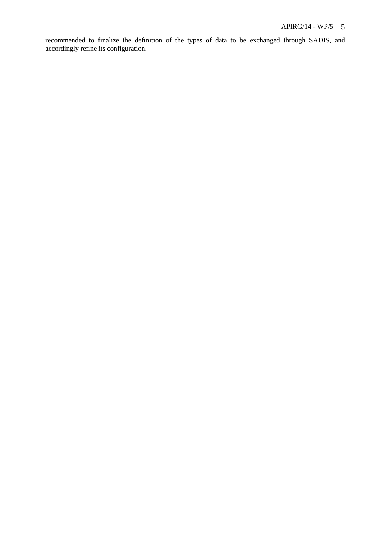recommended to finalize the definition of the types of data to be exchanged through SADIS, and accordingly refine its configuration.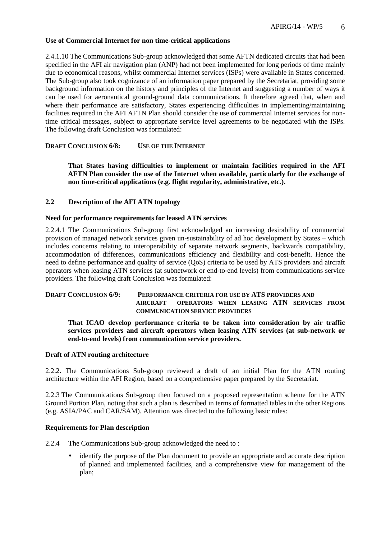## **Use of Commercial Internet for non time-critical applications**

2.4.1.10 The Communications Sub-group acknowledged that some AFTN dedicated circuits that had been specified in the AFI air navigation plan (ANP) had not been implemented for long periods of time mainly due to economical reasons, whilst commercial Internet services (ISPs) were available in States concerned. The Sub-group also took cognizance of an information paper prepared by the Secretariat, providing some background information on the history and principles of the Internet and suggesting a number of ways it can be used for aeronautical ground-ground data communications. It therefore agreed that, when and where their performance are satisfactory. States experiencing difficulties in implementing/maintaining facilities required in the AFI AFTN Plan should consider the use of commercial Internet services for nontime critical messages, subject to appropriate service level agreements to be negotiated with the ISPs. The following draft Conclusion was formulated:

## **DRAFT CONCLUSION 6/8: USE OF THE INTERNET**

**That States having difficulties to implement or maintain facilities required in the AFI AFTN Plan consider the use of the Internet when available, particularly for the exchange of non time-critical applications (e.g. flight regularity, administrative, etc.).** 

#### **2.2 Description of the AFI ATN topology**

#### **Need for performance requirements for leased ATN services**

2.2.4.1 The Communications Sub-group first acknowledged an increasing desirability of commercial provision of managed network services given un-sustainability of ad hoc development by States – which includes concerns relating to interoperability of separate network segments, backwards compatibility, accommodation of differences, communications efficiency and flexibility and cost-benefit. Hence the need to define performance and quality of service (QoS) criteria to be used by ATS providers and aircraft operators when leasing ATN services (at subnetwork or end-to-end levels) from communications service providers. The following draft Conclusion was formulated:

## **DRAFT CONCLUSION 6/9: PERFORMANCE CRITERIA FOR USE BY ATS PROVIDERS AND AIRCRAFT OPERATORS WHEN LEASING ATN SERVICES FROM COMMUNICATION SERVICE PROVIDERS**

**That ICAO develop performance criteria to be taken into consideration by air traffic services providers and aircraft operators when leasing ATN services (at sub-network or end-to-end levels) from communication service providers.** 

#### **Draft of ATN routing architecture**

2.2.2. The Communications Sub-group reviewed a draft of an initial Plan for the ATN routing architecture within the AFI Region, based on a comprehensive paper prepared by the Secretariat.

2.2.3 The Communications Sub-group then focused on a proposed representation scheme for the ATN Ground Portion Plan, noting that such a plan is described in terms of formatted tables in the other Regions (e.g. ASIA/PAC and CAR/SAM). Attention was directed to the following basic rules:

#### **Requirements for Plan description**

2.2.4 The Communications Sub-group acknowledged the need to :

• identify the purpose of the Plan document to provide an appropriate and accurate description of planned and implemented facilities, and a comprehensive view for management of the plan;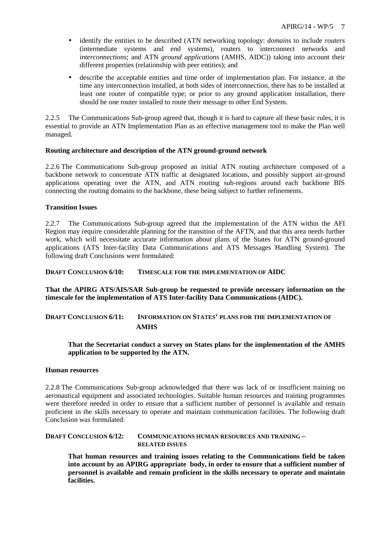- identify the entities to be described (ATN networking topology: *domains* to include *routers* (intermediate systems and end systems), routers to interconnect networks and *interconnections*; and ATN *ground applications* (AMHS, AIDC)) taking into account their different properties (relationship with peer entities); and
- describe the acceptable entities and time order of implementation plan. For instance, at the time any interconnection installed, at both sides of interconnection, there has to be installed at least one router of compatible type; or prior to any ground application installation, there should be one router installed to route their message to other End System.

2.2.5 The Communications Sub-group agreed that, though it is hard to capture all these basic rules, it is essential to provide an ATN Implementation Plan as an effective management tool to make the Plan well managed.

## **Routing architecture and description of the ATN ground-ground network**

2.2.6 The Communications Sub-group proposed an initial ATN routing architecture composed of a backbone network to concentrate ATN traffic at designated locations, and possibly support air-ground applications operating over the ATN, and ATN routing sub-regions around each backbone BIS connecting the routing domains to the backbone, these being subject to further refinements.

## **Transition Issues**

2.2.7 The Communications Sub-group agreed that the implementation of the ATN within the AFI Region may require considerable planning for the transition of the AFTN, and that this area needs further work, which will necessitate accurate information about plans of the States for ATN ground-ground applications (ATS Inter-facility Data Communications and ATS Messages Handling System). The following draft Conclusions were formulated:

**DRAFT CONCLUSION 6/10: TIMESCALE FOR THE IMPLEMENTATION OF AIDC** 

**That the APIRG ATS/AIS/SAR Sub-group be requested to provide necessary information on the timescale for the implementation of ATS Inter-facility Data Communications (AIDC).** 

## **DRAFT CONCLUSION 6/11: INFORMATION ON STATES' PLANS FOR THE IMPLEMENTATION OF AMHS**

 **That the Secretariat conduct a survey on States plans for the implementation of the AMHS application to be supported by the ATN.** 

## **Human resources**

2.2.8 The Communications Sub-group acknowledged that there was lack of or insufficient training on aeronautical equipment and associated technologies. Suitable human resources and training programmes were therefore needed in order to ensure that a sufficient number of personnel is available and remain proficient in the skills necessary to operate and maintain communication facilities. The following draft Conclusion was formulated:

**DRAFT CONCLUSION 6/12: COMMUNICATIONS HUMAN RESOURCES AND TRAINING – RELATED ISSUES**

**That human resources and training issues relating to the Communications field be taken into account by an APIRG appropriate body, in order to ensure that a sufficient number of personnel is available and remain proficient in the skills necessary to operate and maintain facilities.**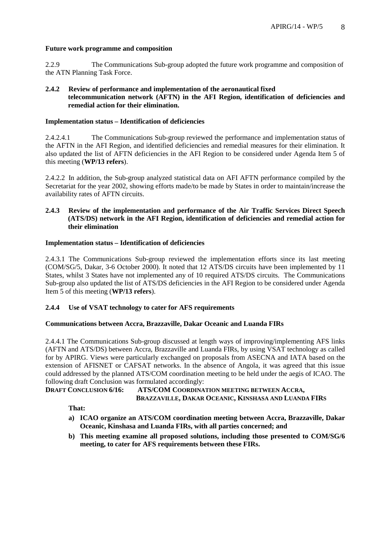## **Future work programme and composition**

2.2.9 The Communications Sub-group adopted the future work programme and composition of the ATN Planning Task Force.

## **2.4.2 Review of performance and implementation of the aeronautical fixed telecommunication network (AFTN) in the AFI Region, identification of deficiencies and remedial action for their elimination.**

#### **Implementation status – Identification of deficiencies**

2.4.2.4.1 The Communications Sub-group reviewed the performance and implementation status of the AFTN in the AFI Region, and identified deficiencies and remedial measures for their elimination. It also updated the list of AFTN deficiencies in the AFI Region to be considered under Agenda Item 5 of this meeting (**WP/13 refers**).

2.4.2.2 In addition, the Sub-group analyzed statistical data on AFI AFTN performance compiled by the Secretariat for the year 2002, showing efforts made/to be made by States in order to maintain/increase the availability rates of AFTN circuits.

## **2.4.3 Review of the implementation and performance of the Air Traffic Services Direct Speech (ATS/DS) network in the AFI Region, identification of deficiencies and remedial action for their elimination**

## **Implementation status – Identification of deficiencies**

2.4.3.1 The Communications Sub-group reviewed the implementation efforts since its last meeting (COM/SG/5, Dakar, 3-6 October 2000). It noted that 12 ATS/DS circuits have been implemented by 11 States, whilst 3 States have not implemented any of 10 required ATS/DS circuits. The Communications Sub-group also updated the list of ATS/DS deficiencies in the AFI Region to be considered under Agenda Item 5 of this meeting (**WP/13 refers**).

## **2.4.4 Use of VSAT technology to cater for AFS requirements**

#### **Communications between Accra, Brazzaville, Dakar Oceanic and Luanda FIRs**

2.4.4.1 The Communications Sub-group discussed at length ways of improving/implementing AFS links (AFTN and ATS/DS) between Accra, Brazzaville and Luanda FIRs, by using VSAT technology as called for by APIRG. Views were particularly exchanged on proposals from ASECNA and IATA based on the extension of AFISNET or CAFSAT networks. In the absence of Angola, it was agreed that this issue could addressed by the planned ATS/COM coordination meeting to be held under the aegis of ICAO. The following draft Conclusion was formulated accordingly:

**DRAFT CONCLUSION 6/16: ATS/COM COORDINATION MEETING BETWEEN ACCRA, BRAZZAVILLE, DAKAR OCEANIC, KINSHASA AND LUANDA FIRS**

**That:** 

- **a) ICAO organize an ATS/COM coordination meeting between Accra, Brazzaville, Dakar Oceanic, Kinshasa and Luanda FIRs, with all parties concerned; and**
- **b) This meeting examine all proposed solutions, including those presented to COM/SG/6 meeting, to cater for AFS requirements between these FIRs.**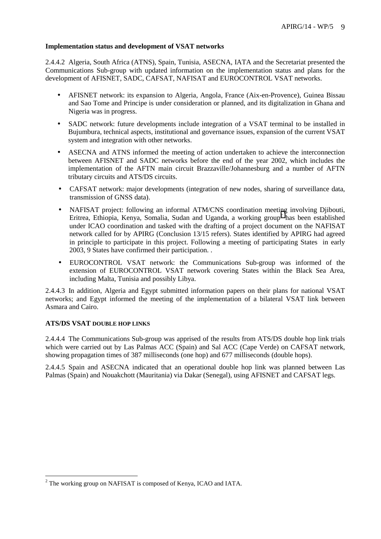## **Implementation status and development of VSAT networks**

2.4.4.2 Algeria, South Africa (ATNS), Spain, Tunisia, ASECNA, IATA and the Secretariat presented the Communications Sub-group with updated information on the implementation status and plans for the development of AFISNET, SADC, CAFSAT, NAFISAT and EUROCONTROL VSAT networks.

- AFISNET network: its expansion to Algeria, Angola, France (Aix-en-Provence), Guinea Bissau and Sao Tome and Principe is under consideration or planned, and its digitalization in Ghana and Nigeria was in progress.
- SADC network: future developments include integration of a VSAT terminal to be installed in Bujumbura, technical aspects, institutional and governance issues, expansion of the current VSAT system and integration with other networks.
- ASECNA and ATNS informed the meeting of action undertaken to achieve the interconnection between AFISNET and SADC networks before the end of the year 2002, which includes the implementation of the AFTN main circuit Brazzaville/Johannesburg and a number of AFTN tributary circuits and ATS/DS circuits.
- CAFSAT network: major developments (integration of new nodes, sharing of surveillance data, transmission of GNSS data).
- NAFISAT project: following an informal ATM/CNS coordination meeting involving Djibouti, Eritrea, Ethiopia, Kenya, Somalia, Sudan and Uganda, a working group<sup>2</sup> has been established under ICAO coordination and tasked with the drafting of a project document on the NAFISAT network called for by APIRG (Conclusion 13/15 refers). States identified by APIRG had agreed in principle to participate in this project. Following a meeting of participating States in early 2003, 9 States have confirmed their participation. .
- EUROCONTROL VSAT network: the Communications Sub-group was informed of the extension of EUROCONTROL VSAT network covering States within the Black Sea Area, including Malta, Tunisia and possibly Libya.

2.4.4.3 In addition, Algeria and Egypt submitted information papers on their plans for national VSAT networks; and Egypt informed the meeting of the implementation of a bilateral VSAT link between Asmara and Cairo.

## **ATS/DS VSAT DOUBLE HOP LINKS**

 $\overline{a}$ 

2.4.4.4 The Communications Sub-group was apprised of the results from ATS/DS double hop link trials which were carried out by Las Palmas ACC (Spain) and Sal ACC (Cape Verde) on CAFSAT network, showing propagation times of 387 milliseconds (one hop) and 677 milliseconds (double hops).

2.4.4.5 Spain and ASECNA indicated that an operational double hop link was planned between Las Palmas (Spain) and Nouakchott (Mauritania) via Dakar (Senegal), using AFISNET and CAFSAT legs.

 $2$  The working group on NAFISAT is composed of Kenya, ICAO and IATA.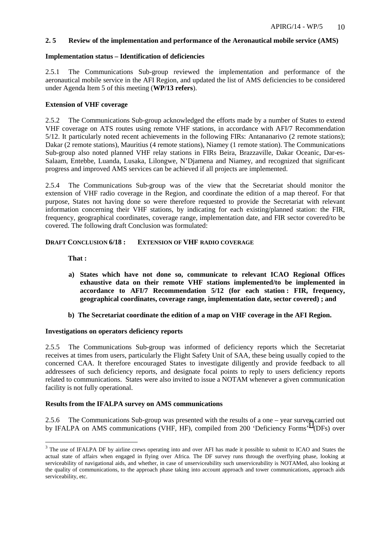## **2. 5 Review of the implementation and performance of the Aeronautical mobile service (AMS)**

## **Implementation status – Identification of deficiencies**

2.5.1 The Communications Sub-group reviewed the implementation and performance of the aeronautical mobile service in the AFI Region, and updated the list of AMS deficiencies to be considered under Agenda Item 5 of this meeting (**WP/13 refers**).

## **Extension of VHF coverage**

2.5.2 The Communications Sub-group acknowledged the efforts made by a number of States to extend VHF coverage on ATS routes using remote VHF stations, in accordance with AFI/7 Recommendation 5/12. It particularly noted recent achievements in the following FIRs: Antananarivo (2 remote stations); Dakar (2 remote stations), Mauritius (4 remote stations), Niamey (1 remote station). The Communications Sub-group also noted planned VHF relay stations in FIRs Beira, Brazzaville, Dakar Oceanic, Dar-es-Salaam, Entebbe, Luanda, Lusaka, Lilongwe, N'Djamena and Niamey, and recognized that significant progress and improved AMS services can be achieved if all projects are implemented.

2.5.4 The Communications Sub-group was of the view that the Secretariat should monitor the extension of VHF radio coverage in the Region, and coordinate the edition of a map thereof. For that purpose, States not having done so were therefore requested to provide the Secretariat with relevant information concerning their VHF stations, by indicating for each existing/planned station: the FIR, frequency, geographical coordinates, coverage range, implementation date, and FIR sector covered/to be covered. The following draft Conclusion was formulated:

## **DRAFT CONCLUSION 6/18 : EXTENSION OF VHF RADIO COVERAGE**

**That :** 

 $\overline{a}$ 

- **a) States which have not done so, communicate to relevant ICAO Regional Offices exhaustive data on their remote VHF stations implemented/to be implemented in accordance to AFI/7 Recommendation 5/12 (for each station : FIR, frequency, geographical coordinates, coverage range, implementation date, sector covered) ; and**
- **b) The Secretariat coordinate the edition of a map on VHF coverage in the AFI Region.**

## **Investigations on operators deficiency reports**

2.5.5 The Communications Sub-group was informed of deficiency reports which the Secretariat receives at times from users, particularly the Flight Safety Unit of SAA, these being usually copied to the concerned CAA. It therefore encouraged States to investigate diligently and provide feedback to all addressees of such deficiency reports, and designate focal points to reply to users deficiency reports related to communications. States were also invited to issue a NOTAM whenever a given communication facility is not fully operational.

## **Results from the IFALPA survey on AMS communications**

2.5.6 The Communications Sub-group was presented with the results of a one – year survey carried out by IFALPA on AMS communications (VHF, HF), compiled from 200 'Deficiency Forms'<sup>3</sup> (DFs) over

 $3$  The use of IFALPA DF by airline crews operating into and over AFI has made it possible to submit to ICAO and States the actual state of affairs when engaged in flying over Africa. The DF survey runs through the overflying phase, looking at serviceability of navigational aids, and whether, in case of unserviceability such unserviceability is NOTAMed, also looking at the quality of communications, to the approach phase taking into account approach and tower communications, approach aids serviceability, etc.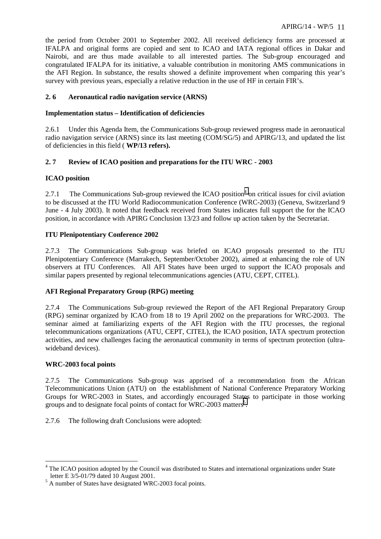the period from October 2001 to September 2002. All received deficiency forms are processed at IFALPA and original forms are copied and sent to ICAO and IATA regional offices in Dakar and Nairobi, and are thus made available to all interested parties. The Sub-group encouraged and congratulated IFALPA for its initiative, a valuable contribution in monitoring AMS communications in the AFI Region. In substance, the results showed a definite improvement when comparing this year's survey with previous years, especially a relative reduction in the use of HF in certain FIR's.

## **2. 6 Aeronautical radio navigation service (ARNS)**

## **Implementation status – Identification of deficiencies**

2.6.1 Under this Agenda Item, the Communications Sub-group reviewed progress made in aeronautical radio navigation service (ARNS) since its last meeting (COM/SG/5) and APIRG/13, and updated the list of deficiencies in this field ( **WP/13 refers).**

## **2. 7 Review of ICAO position and preparations for the ITU WRC - 2003**

## **ICAO position**

2.7.1 The Communications Sub-group reviewed the ICAO position<sup>4</sup> on critical issues for civil aviation to be discussed at the ITU World Radiocommunication Conference (WRC-2003) (Geneva, Switzerland 9 June - 4 July 2003). It noted that feedback received from States indicates full support the for the ICAO position, in accordance with APIRG Conclusion 13/23 and follow up action taken by the Secretariat.

## **ITU Plenipotentiary Conference 2002**

2.7.3 The Communications Sub-group was briefed on ICAO proposals presented to the ITU Plenipotentiary Conference (Marrakech, September/October 2002), aimed at enhancing the role of UN observers at ITU Conferences. All AFI States have been urged to support the ICAO proposals and similar papers presented by regional telecommunications agencies (ATU, CEPT, CITEL).

## **AFI Regional Preparatory Group (RPG) meeting**

2.7.4 The Communications Sub-group reviewed the Report of the AFI Regional Preparatory Group (RPG) seminar organized by ICAO from 18 to 19 April 2002 on the preparations for WRC-2003. The seminar aimed at familiarizing experts of the AFI Region with the ITU processes, the regional telecommunications organizations (ATU, CEPT, CITEL), the ICAO position, IATA spectrum protection activities, and new challenges facing the aeronautical community in terms of spectrum protection (ultrawideband devices).

## **WRC-2003 focal points**

 $\overline{a}$ 

2.7.5 The Communications Sub-group was apprised of a recommendation from the African Telecommunications Union (ATU) on the establishment of National Conference Preparatory Working Groups for WRC-2003 in States, and accordingly encouraged States to participate in those working groups and to designate focal points of contact for WRC-2003 matters<sup>5</sup>.

2.7.6 The following draft Conclusions were adopted:

<sup>&</sup>lt;sup>4</sup> The ICAO position adopted by the Council was distributed to States and international organizations under State letter E 3/5-01/79 dated 10 August 2001.

<sup>&</sup>lt;sup>5</sup> A number of States have designated WRC-2003 focal points.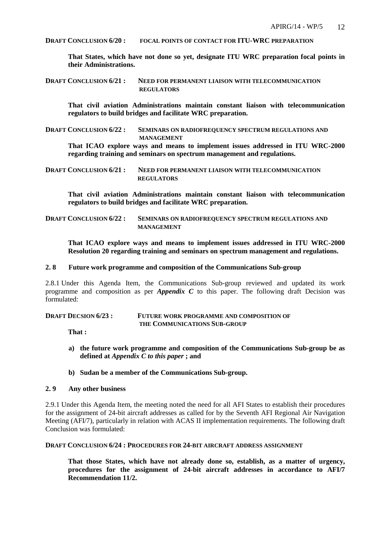**DRAFT CONCLUSION 6/20 : FOCAL POINTS OF CONTACT FOR ITU-WRC PREPARATION**

**That States, which have not done so yet, designate ITU WRC preparation focal points in their Administrations.** 

**DRAFT CONCLUSION 6/21 : NEED FOR PERMANENT LIAISON WITH TELECOMMUNICATION REGULATORS** 

**That civil aviation Administrations maintain constant liaison with telecommunication regulators to build bridges and facilitate WRC preparation.** 

**DRAFT CONCLUSION 6/22 : SEMINARS ON RADIOFREQUENCY SPECTRUM REGULATIONS AND MANAGEMENT** 

**That ICAO explore ways and means to implement issues addressed in ITU WRC-2000 regarding training and seminars on spectrum management and regulations.**

**DRAFT CONCLUSION 6/21 : NEED FOR PERMANENT LIAISON WITH TELECOMMUNICATION REGULATORS** 

**That civil aviation Administrations maintain constant liaison with telecommunication regulators to build bridges and facilitate WRC preparation.** 

**DRAFT CONCLUSION 6/22 : SEMINARS ON RADIOFREQUENCY SPECTRUM REGULATIONS AND MANAGEMENT** 

**That ICAO explore ways and means to implement issues addressed in ITU WRC-2000 Resolution 20 regarding training and seminars on spectrum management and regulations.**

#### **2. 8 Future work programme and composition of the Communications Sub-group**

2.8.1 Under this Agenda Item, the Communications Sub-group reviewed and updated its work programme and composition as per *Appendix C* to this paper. The following draft Decision was formulated:

## **DRAFT DECSION 6/23 : FUTURE WORK PROGRAMME AND COMPOSITION OF THE COMMUNICATIONS SUB-GROUP**

**That :** 

- **a) the future work programme and composition of the Communications Sub-group be as defined at** *Appendix C to this paper* **; and**
- **b) Sudan be a member of the Communications Sub-group.**

#### **2. 9 Any other business**

2.9.1 Under this Agenda Item, the meeting noted the need for all AFI States to establish their procedures for the assignment of 24-bit aircraft addresses as called for by the Seventh AFI Regional Air Navigation Meeting (AFI/7), particularly in relation with ACAS II implementation requirements. The following draft Conclusion was formulated:

#### **DRAFT CONCLUSION 6/24 : PROCEDURES FOR 24-BIT AIRCRAFT ADDRESS ASSIGNMENT**

**That those States, which have not already done so, establish, as a matter of urgency, procedures for the assignment of 24-bit aircraft addresses in accordance to AFI/7 Recommendation 11/2.**